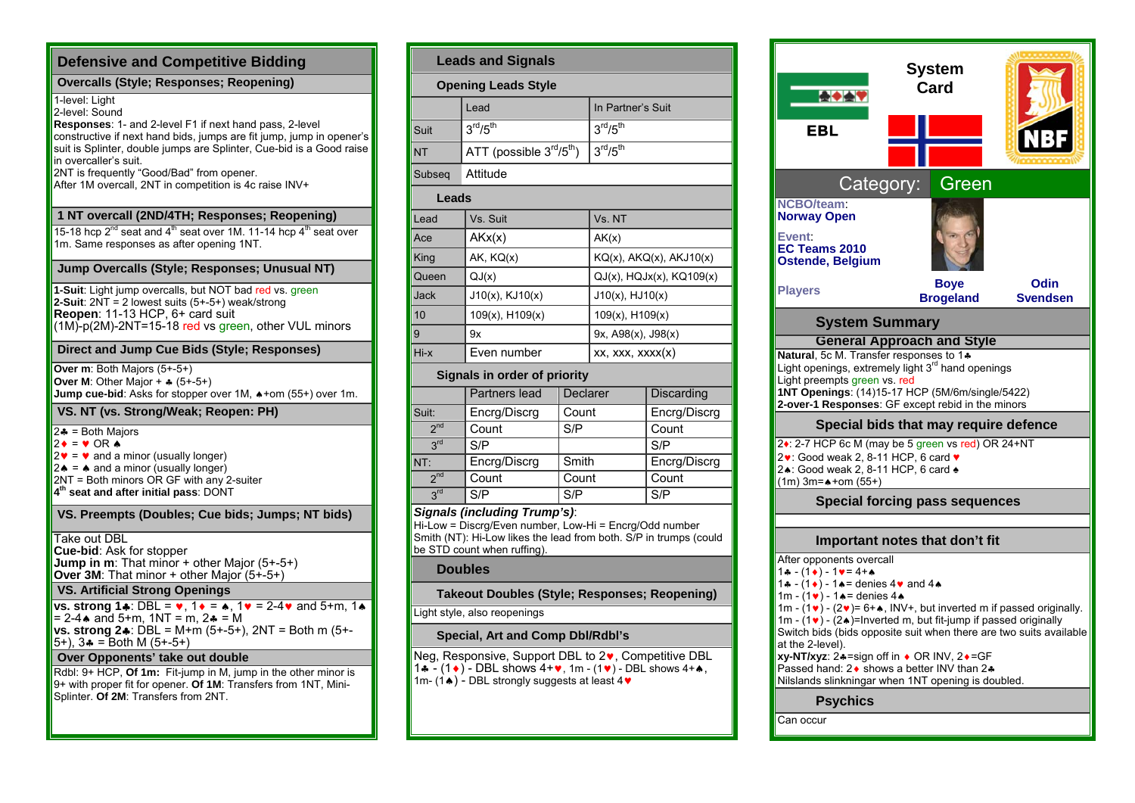| <b>Defensive and Competitive Bidding</b>                                                                                                                                                                                                                                                                                                                                    |
|-----------------------------------------------------------------------------------------------------------------------------------------------------------------------------------------------------------------------------------------------------------------------------------------------------------------------------------------------------------------------------|
| <b>Overcalls (Style: Responses: Reopening)</b>                                                                                                                                                                                                                                                                                                                              |
| 1-level: Light<br>2-level: Sound<br>Responses: 1- and 2-level F1 if next hand pass, 2-level<br>constructive if next hand bids, jumps are fit jump, jump in opener's<br>suit is Splinter, double jumps are Splinter, Cue-bid is a Good raise<br>in overcaller's suit.<br>2NT is frequently "Good/Bad" from opener.<br>After 1M overcall, 2NT in competition is 4c raise INV+ |
| 1 NT overcall (2ND/4TH; Responses; Reopening)                                                                                                                                                                                                                                                                                                                               |
| 15-18 hcp $2^{nd}$ seat and 4 <sup>th</sup> seat over 1M. 11-14 hcp 4 <sup>th</sup> seat over<br>1m. Same responses as after opening 1NT.                                                                                                                                                                                                                                   |
| Jump Overcalls (Style; Responses; Unusual NT)                                                                                                                                                                                                                                                                                                                               |
| 1-Suit: Light jump overcalls, but NOT bad red vs. green<br>2-Suit: $2NT = 2$ lowest suits $(5+-5+)$ weak/strong<br>Reopen: 11-13 HCP, 6+ card suit<br>(1M)-p(2M)-2NT=15-18 red vs green, other VUL minors                                                                                                                                                                   |
| Direct and Jump Cue Bids (Style; Responses)                                                                                                                                                                                                                                                                                                                                 |
| Over m: Both Majors (5+-5+)<br><b>Over M:</b> Other Major + $\ast$ (5+-5+)<br>Jump cue-bid: Asks for stopper over 1M, $*$ +om (55+) over 1m.                                                                                                                                                                                                                                |
| VS. NT (vs. Strong/Weak; Reopen: PH)                                                                                                                                                                                                                                                                                                                                        |
| $2 - 5 = 1$ = Both Majors<br>$2\bullet = \bullet$ OR $\bullet$<br>$2\mathbf{v} = \mathbf{v}$ and a minor (usually longer)<br>$2 \triangle$ = $\triangle$ and a minor (usually longer)<br>2NT = Both minors OR GF with any 2-suiter<br>4 <sup>th</sup> seat and after initial pass: DONT                                                                                     |
| VS. Preempts (Doubles; Cue bids; Jumps; NT bids)                                                                                                                                                                                                                                                                                                                            |
| Take out DBL<br><b>Cue-bid:</b> Ask for stopper<br><b>Jump in m</b> : That minor $+$ other Major $(5+.5+)$<br><b>Over 3M:</b> That minor + other Major $(5+.5+)$                                                                                                                                                                                                            |
| <b>VS. Artificial Strong Openings</b>                                                                                                                                                                                                                                                                                                                                       |
| vs. strong 14: DBL = $\vee$ , 1 $\vee$ = $\triangle$ , 1 $\vee$ = 2-4 $\vee$ and 5+m, 1 $\triangle$<br>$= 2 - 4$ and 5+m, 1NT = m, 2 $=$ = M<br><b>vs. strong 2♣</b> : DBL = M+m (5+-5+), 2NT = Both m (5+-<br>$(5+)$ , $3$ $\bullet$ = Both M ( $5+ -5+$ )                                                                                                                 |
| Over Opponents' take out double                                                                                                                                                                                                                                                                                                                                             |
| Rdbl: 9+ HCP, Of 1m: Fit-jump in M, jump in the other minor is<br>9+ with proper fit for opener. Of 1M: Transfers from 1NT, Mini-<br>Splinter. Of 2M: Transfers from 2NT.                                                                                                                                                                                                   |

| <b>Leads and Signals</b>                                                                                                                                                                                     |                                              |                 |                                  |              |
|--------------------------------------------------------------------------------------------------------------------------------------------------------------------------------------------------------------|----------------------------------------------|-----------------|----------------------------------|--------------|
| <b>Opening Leads Style</b>                                                                                                                                                                                   |                                              |                 |                                  |              |
|                                                                                                                                                                                                              | Lead                                         |                 | In Partner's Suit                |              |
| Suit                                                                                                                                                                                                         | 3 <sup>rd</sup> /5 <sup>th</sup>             |                 | $3^{\text{rd}}/5^{\text{th}}$    |              |
| <b>NT</b>                                                                                                                                                                                                    | ATT (possible $3rd/5th$ )                    |                 | 3 <sup>rd</sup> /5 <sup>th</sup> |              |
| Subseg                                                                                                                                                                                                       | Attitude                                     |                 |                                  |              |
| Leads                                                                                                                                                                                                        |                                              |                 |                                  |              |
| Lead                                                                                                                                                                                                         | Vs. Suit                                     |                 | Vs. NT                           |              |
| Ace                                                                                                                                                                                                          | AKx(x)                                       |                 | AK(x)                            |              |
| King                                                                                                                                                                                                         | AK, KQ(x)<br>$KQ(x)$ , $AKQ(x)$ , $AKJ10(x)$ |                 |                                  |              |
| Queen                                                                                                                                                                                                        | QJ(x)<br>$QJ(x)$ , $HQJx(x)$ , $KQ109(x)$    |                 |                                  |              |
| <b>Jack</b>                                                                                                                                                                                                  | $J10(x)$ , $KJ10(x)$                         |                 | $J10(x)$ , $HJ10(x)$             |              |
| 10                                                                                                                                                                                                           | 109(x), H109(x)                              |                 | $109(x)$ , H $109(x)$            |              |
| 9                                                                                                                                                                                                            | 9x                                           |                 | 9x, A98(x), J98(x)               |              |
| Hi-x                                                                                                                                                                                                         | Even number                                  |                 | XX, XXX, XXX(X)                  |              |
|                                                                                                                                                                                                              | Signals in order of priority                 |                 |                                  |              |
|                                                                                                                                                                                                              | <b>Partners lead</b>                         | <b>Declarer</b> |                                  | Discarding   |
| Suit:                                                                                                                                                                                                        | Encrg/Discrg                                 | Count           |                                  | Encrg/Discrg |
| 2 <sub>nd</sub>                                                                                                                                                                                              | Count                                        | S/P             |                                  | Count        |
| 3 <sup>rd</sup>                                                                                                                                                                                              | S/P                                          |                 |                                  | S/P          |
| NT:                                                                                                                                                                                                          | Encrg/Discrg                                 | Smith           |                                  | Encrg/Discrg |
| 2 <sup>nd</sup>                                                                                                                                                                                              | Count                                        | Count           |                                  | Count        |
| 3 <sup>rd</sup>                                                                                                                                                                                              | S/P<br>S/P<br>S/P                            |                 |                                  |              |
| <b>Signals (including Trump's):</b><br>Hi-Low = Discrg/Even number, Low-Hi = Encrg/Odd number<br>Smith (NT): Hi-Low likes the lead from both. S/P in trumps (could<br>be STD count when ruffing).<br>Doubles |                                              |                 |                                  |              |

**Takeout Doubles (Style; Responses; Reopening)** 

Light style, also reopenings

#### **Special, Art and Comp Dbl/Rdbl's**

Neg, Responsive, Support DBL to 2 $\bullet$ , Competitive DBL  $1\clubsuit$  - (1 $\bullet$ ) - DBL shows 4+ $\bullet$ , 1m - (1 $\bullet$ ) - DBL shows 4+ $\bullet$ , 1m- (1 $\triangle$ ) - DBL strongly suggests at least 4 $\blacktriangledown$ 

| EBL                                                                                                                                                                                                                                                                                                                                                                                                                                                                                                                                                                                                              | System<br>Card           |                         |  |
|------------------------------------------------------------------------------------------------------------------------------------------------------------------------------------------------------------------------------------------------------------------------------------------------------------------------------------------------------------------------------------------------------------------------------------------------------------------------------------------------------------------------------------------------------------------------------------------------------------------|--------------------------|-------------------------|--|
| Category:                                                                                                                                                                                                                                                                                                                                                                                                                                                                                                                                                                                                        | Green                    |                         |  |
| <b>NCBO/team:</b><br>Norway Open<br>Event:<br>EC Teams 2010<br>Ostende, Belgium                                                                                                                                                                                                                                                                                                                                                                                                                                                                                                                                  |                          |                         |  |
| <b>Players</b>                                                                                                                                                                                                                                                                                                                                                                                                                                                                                                                                                                                                   | Boye<br><b>Brogeland</b> | Odin<br><b>Svendsen</b> |  |
| <b>System Summary</b>                                                                                                                                                                                                                                                                                                                                                                                                                                                                                                                                                                                            |                          |                         |  |
| Natural, 5c M. Transfer responses to 1+<br>Light openings, extremely light 3 <sup>rd</sup> hand openings<br>Light preempts green vs. red<br>1NT Openings: (14)15-17 HCP (5M/6m/single/5422)<br>2-over-1 Responses: GF except rebid in the minors<br>Special bids that may require defence<br>24: 2-7 HCP 6c M (may be 5 green vs red) OR 24+NT<br>2v: Good weak 2, 8-11 HCP, 6 card v<br>24: Good weak 2, 8-11 HCP, 6 card 4<br>$(1m)$ 3m= $\star$ +om (55+)                                                                                                                                                     |                          |                         |  |
| <b>Special forcing pass sequences</b>                                                                                                                                                                                                                                                                                                                                                                                                                                                                                                                                                                            |                          |                         |  |
| Important notes that don't fit                                                                                                                                                                                                                                                                                                                                                                                                                                                                                                                                                                                   |                          |                         |  |
| After opponents overcall<br>$1 - (1) - 1 = 4 + 4$<br>1. $-(1\bullet)$ - 1. $\bullet$ = denies 4. $\bullet$ and 4.<br>1m - $(1 \cdot )$ - 1 $\bullet$ = denies 4 $\bullet$<br>1m - $(1\bullet)$ - $(2\bullet)$ = 6+ $\bullet$ , INV+, but inverted m if passed originally.<br>1m - $(1 \cdot )$ - $(2 \cdot )$ =Inverted m, but fit-jump if passed originally<br>Switch bids (bids opposite suit when there are two suits available<br>at the 2-level).<br><b>xy-NT/xyz</b> : 2♣=sign off in ♦ OR INV, 2♦=GF<br>Passed hand: 2 • shows a better INV than 2.<br>Nilslands slinkningar when 1NT opening is doubled. |                          |                         |  |
| <b>Psychics</b>                                                                                                                                                                                                                                                                                                                                                                                                                                                                                                                                                                                                  |                          |                         |  |

Can occur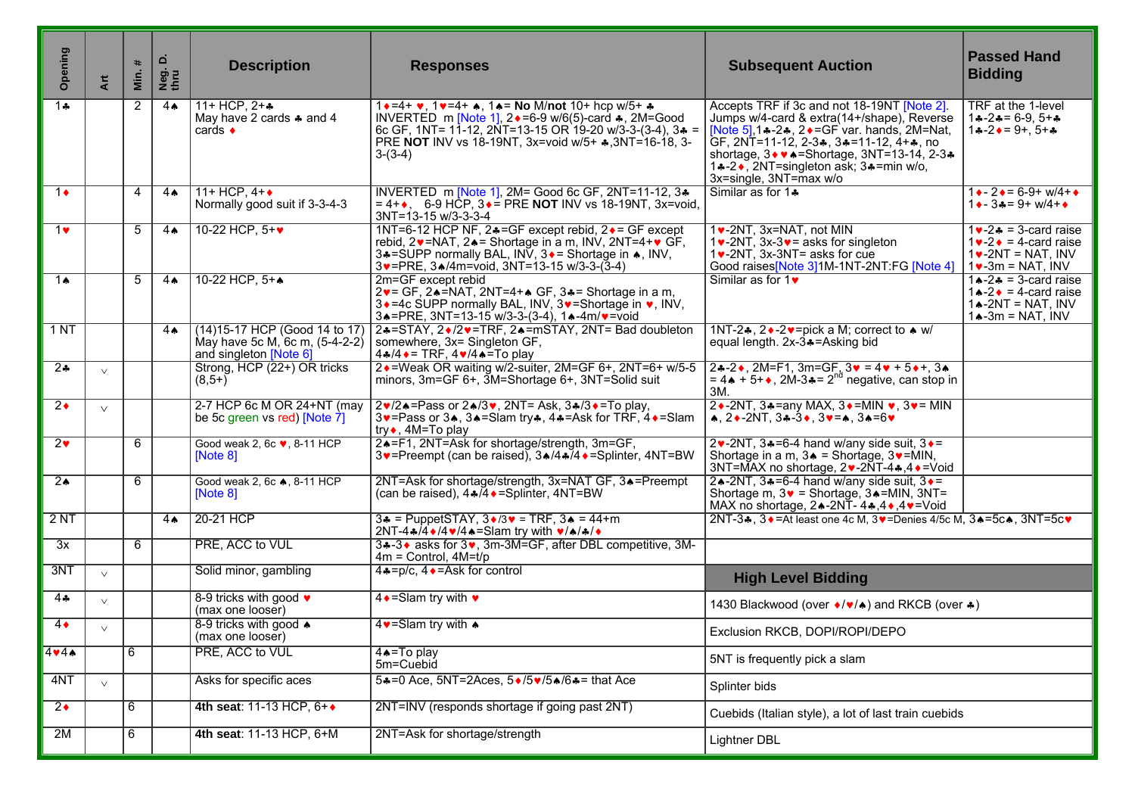| Opening               | Art    | $\ast$<br>Min. | ن<br>Neg.<br>thru | <b>Description</b>                                                                         | <b>Responses</b>                                                                                                                                                                                                                                                                                                          | <b>Subsequent Auction</b>                                                                                                                                                                                                                                                                                     | <b>Passed Hand</b><br><b>Bidding</b>                                                                                                               |
|-----------------------|--------|----------------|-------------------|--------------------------------------------------------------------------------------------|---------------------------------------------------------------------------------------------------------------------------------------------------------------------------------------------------------------------------------------------------------------------------------------------------------------------------|---------------------------------------------------------------------------------------------------------------------------------------------------------------------------------------------------------------------------------------------------------------------------------------------------------------|----------------------------------------------------------------------------------------------------------------------------------------------------|
| $\overline{1}$        |        | $\mathbf{2}$   | $4 \spadesuit$    | 11+ HCP, $2 + 4$<br>May have 2 cards $\clubsuit$ and 4<br>cards $\bullet$                  | $1 \cdot 4 = 4 + \cdots$ , $1 \cdot 4 = 4 + \cdots$ , $1 \cdot 5 = 10$ M/not $10 + hcp$ w/5+ $\cdots$<br>INVERTED m [Note 1], $2 \cdot = 6.9$ w/6(5)-card $\cdot$ , 2M=Good<br>6c GF, 1NT= 11-12, 2NT=13-15 OR 19-20 w/3-3-(3-4), $3* =$<br>PRE NOT INV vs 18-19NT, 3x=void w/5+ $\clubsuit$ , 3NT=16-18, 3-<br>$3-(3-4)$ | Accepts TRF if 3c and not 18-19NT [Note 2].<br>Jumps w/4-card & extra(14+/shape), Reverse<br>[Note 5], 1.4-2.4, 2.4 = GF var. hands, 2M=Nat,<br>GF, 2NT=11-12, 2-3♣, 3♣=11-12, 4+♣, no<br>shortage, 3 • • • = Shortage, 3NT=13-14, 2-3 •<br>1.4-2., 2NT=singleton ask; 3.4=min w/o,<br>3x=single, 3NT=max w/o | TRF at the 1-level<br>$1 - 2 = 6 - 9$ , $5 + 2$<br>$1 - 2 - 9 + 5 +$                                                                               |
| $1 \bullet$           |        | 4              | $4 \spadesuit$    | 11+ HCP, $4+\bullet$<br>Normally good suit if 3-3-4-3                                      | INVERTED m [Note 1], 2M= Good 6c GF, 2NT=11-12, 3 $\clubsuit$<br>$= 4 + 1.6 - 9$ HCP, $3 \cdot =$ PRE NOT INV vs 18-19NT, 3x=void,<br>$3NT = 13 - 15 w/3 - 3 - 3 - 4$                                                                                                                                                     | Similar as for 1.                                                                                                                                                                                                                                                                                             | $1 \div 2 \div 6 - -9 + w/4 + \bullet$<br>$1 \bullet - 3 \bullet = 9 + w/4 + \bullet$                                                              |
| $1$ v                 |        | 5              | 4 <sub>•</sub>    | 10-22 HCP, 5+ $\blacktriangledown$                                                         | 1NT=6-12 HCP NF, 2♣=GF except rebid, 2♦ = GF except<br>rebid, 2v=NAT, 2▲= Shortage in a m, INV, 2NT=4+v GF,<br>3.4=SUPP normally BAL, INV, 3. F Shortage in A, INV,<br>3v=PRE, 3A/4m=void, 3NT=13-15 w/3-3-(3-4)                                                                                                          | 1v-2NT, 3x=NAT, not MIN<br>1 $\bullet$ -2NT, 3x-3 $\bullet$ = asks for singleton<br>$1\blacktriangleright$ -2NT, 3x-3NT= asks for cue<br>Good raises[Note 3]1M-1NT-2NT:FG [Note 4]                                                                                                                            | $1 \cdot -2 \cdot = 3$ -card raise<br>$1 \vee -2 \triangleq 4$ - card raise<br>$1\blacktriangleright$ -2NT = NAT, INV<br>$1\bullet$ -3m = NAT, INV |
| 14                    |        | 5              | $4\spadesuit$     | 10-22 HCP, 5++                                                                             | 2m=GF except rebid<br>2v = GF, 24=NAT, 2NT=4+4 GF, 34 = Shortage in a m,<br>3 • = 4c SUPP normally BAL, INV, 3 • = Shortage in •, INV,<br>3. = PRE, 3NT=13-15 w/3-3-(3-4), 1. -4m/ $\vee$ =void                                                                                                                           | Similar as for $1\blacktriangleright$                                                                                                                                                                                                                                                                         | $1 \cdot -2 \cdot = 3$ -card raise<br>$1 \cdot 2 \cdot 7 = 4$ -card raise<br>$1 \triangle -2NT = NAT$ , INV<br>$1 \triangle -3m = NAT$ , INV       |
| 1 N T                 |        |                | $4 \spadesuit$    | (14) 15-17 HCP (Good 14 to 17)<br>May have 5c M, 6c m, (5-4-2-2)<br>and singleton [Note 6] | 2+=STAY, 2+/2+=TRF, 2+=mSTAY, 2NT= Bad doubleton<br>somewhere, 3x= Singleton GF,<br>$4*(4 \cdot = \text{TRF}, 4 \cdot /4 \cdot = \text{To play})$                                                                                                                                                                         | 1NT-2 $\clubsuit$ , 2 $\bullet$ -2 $\triangleright$ =pick a M; correct to $\spadesuit$ w/<br>equal length. 2x-3+=Asking bid                                                                                                                                                                                   |                                                                                                                                                    |
| $\overline{2\cdot}$   | $\vee$ |                |                   | Strong, HCP (22+) OR tricks<br>$(8, 5 +)$                                                  | 2 • = Weak OR waiting w/2-suiter, 2M=GF 6+, 2NT=6+ w/5-5<br>minors, $3m = GF_6 +$ , $3M = Shortage_6 +$ , $3NT = Solid$ suit                                                                                                                                                                                              | $2*-2*$ , 2M=F1, 3m=GF, $3* = 4* + 5* +$ , 3 $*$<br>$= 4 \cdot 5 + \cdot 2M - 3 = 2^{nd}$ negative, can stop in<br>3M.                                                                                                                                                                                        |                                                                                                                                                    |
| $2\bullet$            | $\vee$ |                |                   | 2-7 HCP 6c M OR 24+NT (may<br>be 5c green vs red) [Note $\overline{7}$ ]                   | $2\cdot\sqrt{2}$ = Pass or $2\cdot\sqrt{3}\cdot$ , 2NT= Ask, $3\cdot\sqrt{3}\cdot$ = To play,<br>3v=Pass or 3★, 3▲=Slam try $\ast$ , 4 $\ast$ =Ask for TRF, 4 $\ast$ =Slam<br>try◆, 4M=To play                                                                                                                            | 2 $\rightarrow$ -2NT, 3 $\rightarrow$ = any MAX, 3 $\rightarrow$ = MIN $\rightarrow$ , 3 $\rightarrow$ = MIN<br>$\star$ , 2 $\star$ -2NT, 3 $\star$ -3 $\star$ , 3 $\star$ = $\star$ , 3 $\star$ = 6 $\star$                                                                                                  |                                                                                                                                                    |
| 2 <sub>v</sub>        |        | 6              |                   | Good weak 2, 6c v, 8-11 HCP<br>[Note 8]                                                    | 24=F1, 2NT=Ask for shortage/strength, 3m=GF,<br>3v=Preempt (can be raised), 3▲/4▲74 • = Splinter, 4NT=BW                                                                                                                                                                                                                  | 2v-2NT, $3*-6-4$ hand w/any side suit, $3*-$<br>Shortage in a m, $3 \triangle$ = Shortage, $3 \vee$ =MIN,<br>3NT=MAX no shortage, 2v-2NT-4∗,4+=Void                                                                                                                                                           |                                                                                                                                                    |
| $2\spadesuit$         |        | 6              |                   | Good weak 2, 6c $\clubsuit$ , 8-11 HCP<br>[Note 8]                                         | 2NT=Ask for shortage/strength, 3x=NAT GF, 3A=Preempt<br>(can be raised), $4\frac{1}{4}$ $\bullet$ = Splinter, $4NT=BW$                                                                                                                                                                                                    | 24-2NT, $34 = 6 - 4$ hand w/any side suit, $3 \cdot =$<br>Shortage m, $3\vee$ = Shortage, $3\triangle$ = MIN, $3NT =$<br>MAX no shortage, 2∧-2NT-4,4,4,4, V=Void                                                                                                                                              |                                                                                                                                                    |
| 2NT                   |        |                | $4\spadesuit$     | 20-21 HCP                                                                                  | $3*$ = PuppetSTAY, $3*/3*$ = TRF, $3*$ = 44+m<br>2NT-4 $\frac{1}{4}$ /4 $\frac{1}{4}$ /4 $\frac{1}{4}$ /4 $\frac{1}{4}$ =Slam try with $\frac{1}{4}$ / $\frac{1}{4}$ / $\frac{1}{4}$                                                                                                                                      | 2NT-3+, 3+=At least one 4c M, 3+=Denies 4/5c M, 3+=5c+, 3NT=5c+                                                                                                                                                                                                                                               |                                                                                                                                                    |
| $\overline{3x}$       |        | 6              |                   | PRE, ACC to VUL                                                                            | 3.4-3 ♦ asks for 3 •, 3m-3M=GF, after DBL competitive, 3M-<br>$4m =$ Control, $4M=t/p$                                                                                                                                                                                                                                    |                                                                                                                                                                                                                                                                                                               |                                                                                                                                                    |
| 3NT                   | $\vee$ |                |                   | Solid minor, gambling                                                                      | $4*-p/c$ , $4*-Ask$ for control                                                                                                                                                                                                                                                                                           | <b>High Level Bidding</b>                                                                                                                                                                                                                                                                                     |                                                                                                                                                    |
| $4 -$                 | $\vee$ |                |                   | 8-9 tricks with good •<br>(max one looser)                                                 | $4 \cdot =$ Slam try with $\cdot$                                                                                                                                                                                                                                                                                         | 1430 Blackwood (over •/♥/▲) and RKCB (over *)                                                                                                                                                                                                                                                                 |                                                                                                                                                    |
| $4\bullet$            | $\vee$ |                |                   | 8-9 tricks with good $\triangle$<br>(max one looser)                                       | 4 • Slam try with $\triangle$                                                                                                                                                                                                                                                                                             | Exclusion RKCB, DOPI/ROPI/DEPO                                                                                                                                                                                                                                                                                |                                                                                                                                                    |
| 444A                  |        | 6              |                   | PRE, ACC to VUL                                                                            | 4 <sup>*</sup> =To play<br>5m=Cuebid                                                                                                                                                                                                                                                                                      | 5NT is frequently pick a slam                                                                                                                                                                                                                                                                                 |                                                                                                                                                    |
| 4NT                   | $\vee$ |                |                   | Asks for specific aces                                                                     | 5+=0 Ace, 5NT=2Aces, 5+/5+/5+/6+= that Ace                                                                                                                                                                                                                                                                                | Splinter bids                                                                                                                                                                                                                                                                                                 |                                                                                                                                                    |
| $\overline{2\bullet}$ |        | 6              |                   | 4th seat: 11-13 HCP, 6++                                                                   | 2NT=INV (responds shortage if going past 2NT)                                                                                                                                                                                                                                                                             | Cuebids (Italian style), a lot of last train cuebids                                                                                                                                                                                                                                                          |                                                                                                                                                    |
| 2M                    |        | 6              |                   | 4th seat: 11-13 HCP, 6+M                                                                   | 2NT=Ask for shortage/strength                                                                                                                                                                                                                                                                                             | Lightner DBL                                                                                                                                                                                                                                                                                                  |                                                                                                                                                    |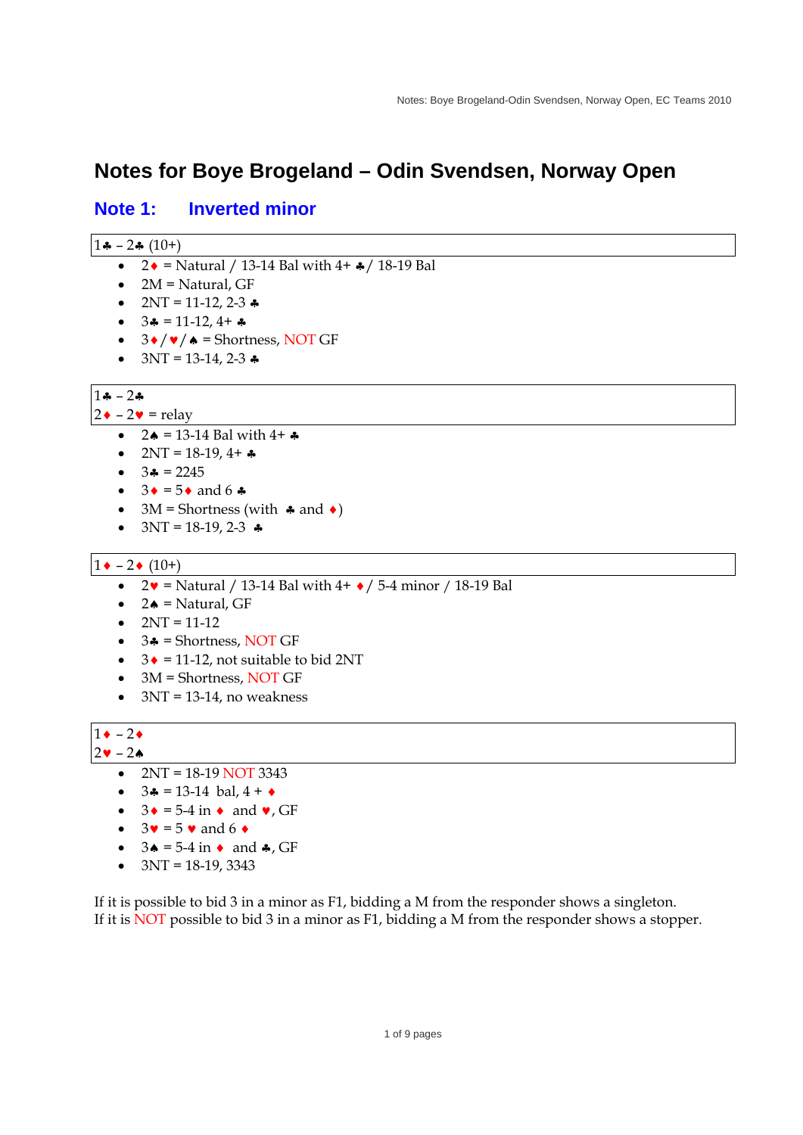# **Notes for Boye Brogeland – Odin Svendsen, Norway Open**

## **Note 1: Inverted minor**

| 1品 |  | $-2$ * (10+) |
|----|--|--------------|
|----|--|--------------|

- $2 \cdot 2 = \text{Natural} / 13 14 \text{ Bal with } 4 + 18 19 \text{ Bal}$
- $\bullet$  2M = Natural, GF
- $2NT = 11-12, 2-3$
- $\bullet$  3 $\clubsuit$  = 11-12, 4+  $\clubsuit$
- $\bullet$  3  $\bullet$  /  $\bullet$  /  $\bullet$  = Shortness, NOT GF
- $3NT = 13-14, 2-3$

## $1 - 2$

 $2 \cdot -2 \cdot =$  relay

- $2 \triangle = 13 14$  Bal with  $4 + 4$
- $2NT = 18-19, 4+A$
- $\bullet$  3 $\clubsuit$  = 2245
- $\bullet$  3  $\bullet$  = 5  $\bullet$  and 6  $\clubsuit$
- $3M =$  Shortness (with  $\clubsuit$  and  $\spadesuit$ )
- $3NT = 18-19, 2-3$

#### $1 \bullet - 2 \bullet (10^+)$

- $2 \cdot 2 \cdot 5 = 12$  Matural / 13-14 Bal with 4+  $\cdot$  / 5-4 minor / 18-19 Bal
- $\bullet$  2 $\bullet$  = Natural, GF
- $\bullet$  2NT = 11-12
- $\bullet$  3 $\bullet$  = Shortness, NOT GF
- $\bullet$  3  $\bullet$  = 11-12, not suitable to bid 2NT
- 3M = Shortness, NOT GF
- $\bullet$  3NT = 13-14, no weakness

#### $1 \cdot -2 \cdot$  $2 \cdot - 2 \cdot$

- $\bullet$  2NT = 18-19 NOT 3343
- $3 \cdot 13 14$  bal,  $4 + \cdot$
- $\bullet$  3  $\bullet$  = 5-4 in  $\bullet$  and  $\bullet$ , GF
- $\bullet$  3 $\bullet$  = 5  $\bullet$  and 6  $\bullet$
- $\bullet$  3 $\bullet$  = 5-4 in  $\bullet$  and  $\bullet$ , GF
- $\bullet$  3NT = 18-19, 3343

If it is possible to bid 3 in a minor as F1, bidding a M from the responder shows a singleton. If it is NOT possible to bid 3 in a minor as F1, bidding a M from the responder shows a stopper.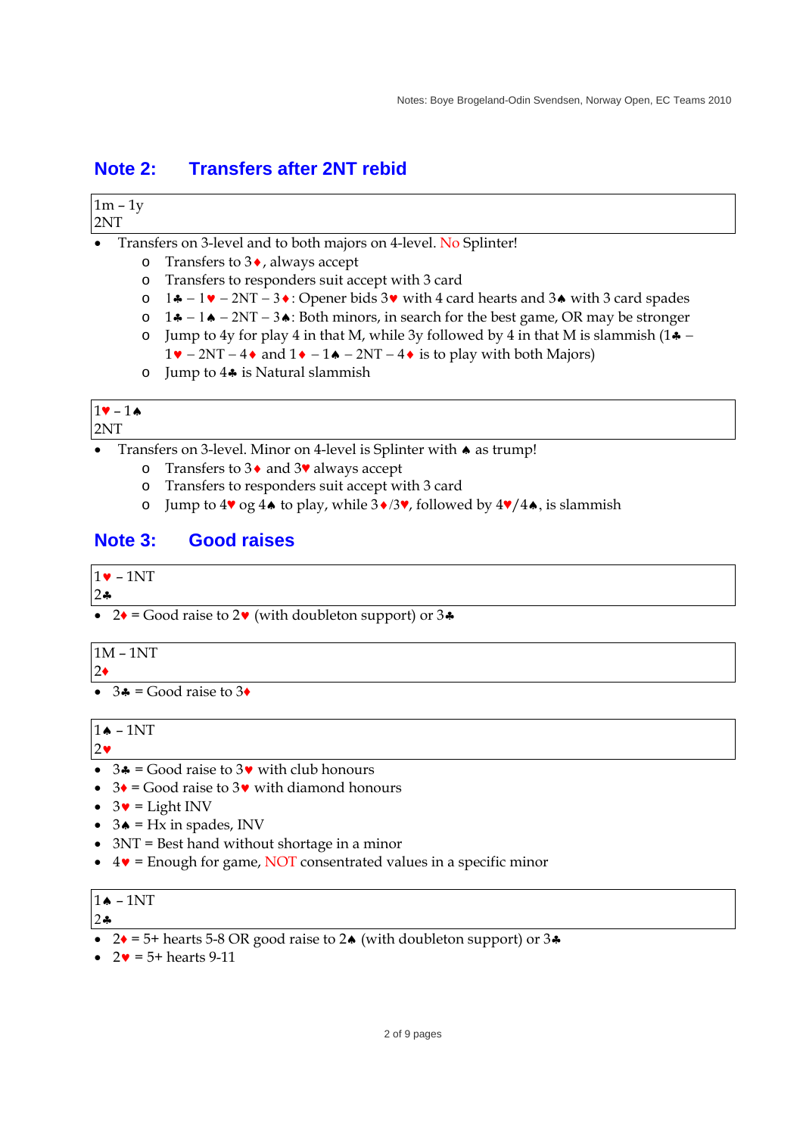# **Note 2: Transfers after 2NT rebid**

| 2NT       | $1m - 1y$                                                        |                                                                                                                                                                          |  |  |
|-----------|------------------------------------------------------------------|--------------------------------------------------------------------------------------------------------------------------------------------------------------------------|--|--|
| $\bullet$ | Transfers on 3-level and to both majors on 4-level. No Splinter! |                                                                                                                                                                          |  |  |
|           | $\circ$                                                          | Transfers to $3\bullet$ , always accept                                                                                                                                  |  |  |
|           | $\circ$                                                          | Transfers to responders suit accept with 3 card                                                                                                                          |  |  |
|           | $\circ$                                                          | $1\clubsuit - 1\blacktriangleright - 2NT - 3\blacktriangleright$ : Opener bids 3 $\blacktriangleright$ with 4 card hearts and 3 $\blacktriangleright$ with 3 card spades |  |  |
|           |                                                                  | $\circ$ 1.4 – 1.4 – 2NT – 3.4: Both minors, in search for the best game, OR may be stronger                                                                              |  |  |

- o Jump to 4y for play 4 in that M, while 3y followed by 4 in that M is slammish  $(1 \frac{1}{2})$  $1 \cdot 2NT - 4 \cdot$  and  $1 \cdot -1 \cdot 2NT - 4 \cdot$  is to play with both Majors)
- o Jump to  $4\clubsuit$  is Natural slammish

 $1$  – 1 2NT

- Transfers on 3-level. Minor on 4-level is Splinter with  $\triangle$  as trump!
	- o Transfers to  $3\bullet$  and  $3\bullet$  always accept
	- o Transfers to responders suit accept with 3 card
	- o Jump to  $4\mathbf{v}$  og  $4\mathbf{A}$  to play, while  $3\mathbf{v}/3\mathbf{v}$ , followed by  $4\mathbf{v}/4\mathbf{A}$ , is slammish

# **Note 3: Good raises**

 $1\bullet -1NT$ 

 $2\bullet$ 

•  $2 \cdot =$  Good raise to 2 $\cdot$  (with doubleton support) or 3 $\cdot$ 

$$
1M-1NT
$$

2♦

 $3 \div =$  Good raise to  $3 \div$ 

 $1 \triangle - 1NT$ 

 $2\bullet$ 

- $3 \cdot 3 =$  Good raise to  $3 \cdot 3 \cdot 5 = 3 \cdot 5 = 3 \cdot 5 = 3 \cdot 5 = 3 \cdot 5 = 3 \cdot 5 = 3 \cdot 5 = 3 \cdot 5 = 3 \cdot 5 = 3 \cdot 5 = 3 \cdot 5 = 3 \cdot 5 = 3 \cdot 5 = 3 \cdot 5 = 3 \cdot 5 = 3 \cdot 5 = 3 \cdot 5 = 3 \cdot 5 = 3 \cdot 5 = 3 \cdot 5 = 3 \cdot 5 = 3 \cdot 5 = 3 \cdot 5 = 3 \cdot 5 = 3 \cdot 5 = 3 \cdot 5 = 3 \cdot 5 = 3 \$
- $\bullet$  3 $\bullet$  = Good raise to 3 $\bullet$  with diamond honours
- $\bullet$  3 $\bullet$  = Light INV
- $\bullet$  3 $\bullet$  = Hx in spades, INV
- 3NT = Best hand without shortage in a minor
- $\bullet$  4 $\bullet$  = Enough for game, NOT consentrated values in a specific minor

# $1 \triangle - 1NT$

 $2 - 2$ 

- $2 \cdot 5 +$  hearts 5-8 OR good raise to  $2 \cdot \text{(with doubleton support)}$  or  $3 \cdot \text{[to be]}$
- $2 \cdot 5 + \text{ hearts } 9 11$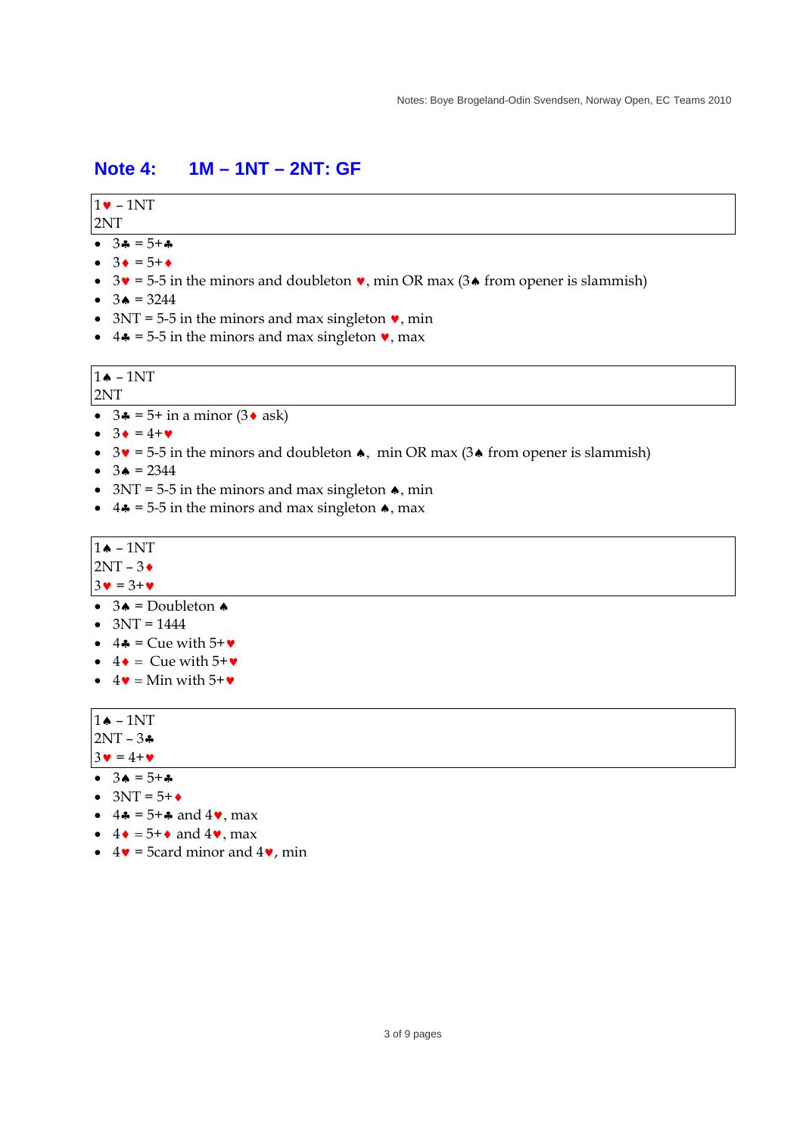## **Note 4: 1M – 1NT – 2NT: GF**

### $1\bullet -1NT$

#### 2NT

- $\bullet$  34 = 5+4
- $\bullet$  3  $\bullet$  = 5+ $\bullet$
- $3\mathbf{v} = 5-5$  in the minors and doubleton  $\mathbf{v}$ , min OR max (3 $\mathbf{\triangleleft}$  from opener is slammish)
- $3 \bullet = 3244$
- $3NT = 5-5$  in the minors and max singleton  $\bullet$ , min
- 4.  $= 5-5$  in the minors and max singleton  $\bullet$ , max

# $1 \triangle - 1NT$

2NT

- $\bullet$  3 $\clubsuit$  = 5+ in a minor (3 $\bullet$  ask)
- $\bullet$  3  $\bullet$  = 4+ $\bullet$
- $\bullet$  3 $\bullet$  = 5-5 in the minors and doubleton  $\bullet$ , min OR max (3 $\bullet$  from opener is slammish)
- $3 \bullet = 2344$
- $3NT = 5-5$  in the minors and max singleton  $\triangle$ , min
- $\bullet$  4 $\bullet$  = 5-5 in the minors and max singleton  $\bullet$ , max

# $1 \bullet - 1NT$

- $2NT 3$
- $3\mathbf{v} = 3+\mathbf{v}$
- $\overline{\bullet}$  3 $\overline{\bullet}$  = Doubleton  $\bullet$
- $\bullet$  3NT = 1444
- $\bullet$  4\* = Cue with 5+ $\bullet$
- $\bullet$  4  $\bullet$  = Cue with 5+ $\bullet$
- $\bullet$  4  $\bullet$  = Min with 5+ $\bullet$

#### $1 \triangle = 1NT$  $2NT - 3+$

 $3 \cdot = 4 + \cdot$ 

- $\bullet$  34 = 5+4
- $\bullet$  3NT = 5+ $\bullet$
- $4 \cdot 5 + \cdot \cdot$  and  $4 \cdot \cdot \cdot$  max
- $\bullet$  4  $\bullet$  = 5+ $\bullet$  and 4 $\bullet$ , max
- $\bullet$  4 $\bullet$  = 5card minor and 4 $\bullet$ , min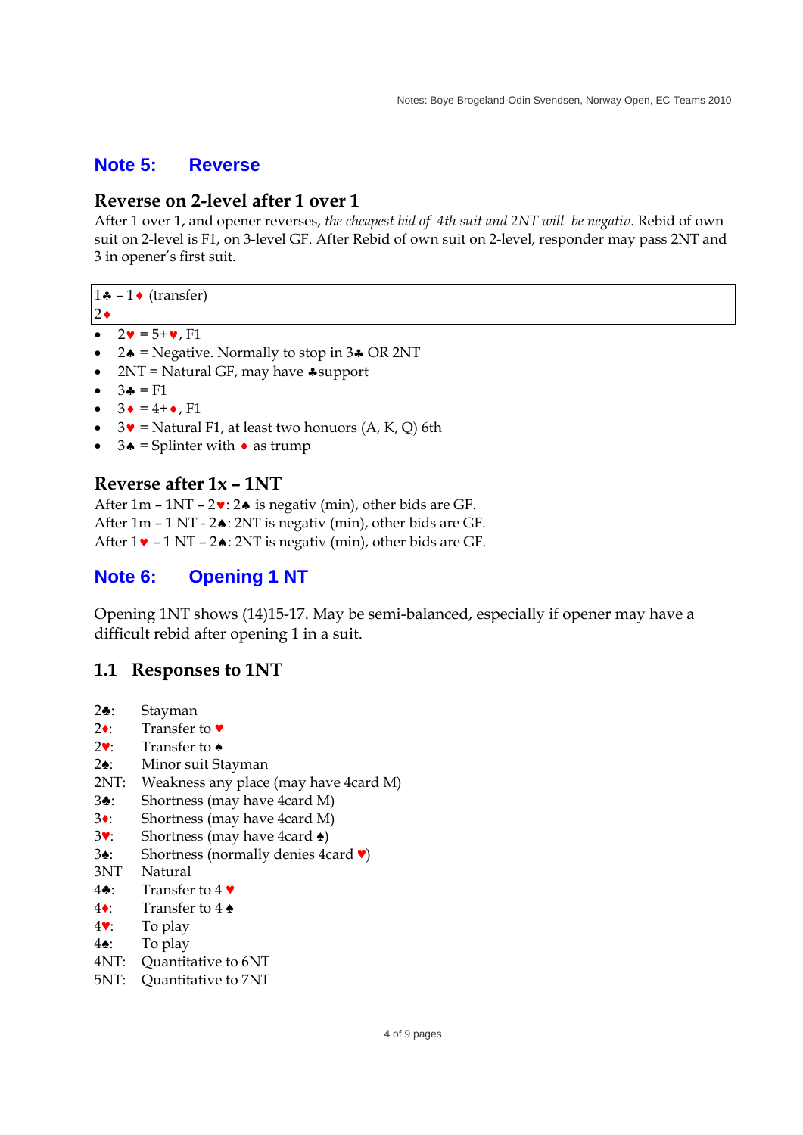### **Note 5: Reverse**

### **Reverse on 2-level after 1 over 1**

After 1 over 1, and opener reverses, *the cheapest bid of 4th suit and 2NT will be negativ*. Rebid of own suit on 2-level is F1, on 3-level GF. After Rebid of own suit on 2-level, responder may pass 2NT and 3 in opener's first suit.

 $1 \bullet - 1 \bullet$  (transfer)

- $2\bullet$
- $2\mathbf{v} = 5 + \mathbf{v}$ , F1
- $2\bullet$  = Negative. Normally to stop in 3 $\bullet$  OR 2NT
- $2NT = Natural GF, may have * support$
- $34 = F1$
- $3 \bullet = 4 + \bullet$ . F1
- $3\mathbf{v}$  = Natural F1, at least two honuors (A, K, Q) 6th
- $3\bullet$  = Splinter with  $\bullet$  as trump

### **Reverse after 1x – 1NT**

After  $1m - 1NT - 2$ :  $2 \triangle$  is negativ (min), other bids are GF. After  $1m - 1 NT - 2 \cdot 2 NT$  is negativ (min), other bids are GF. After  $1\mathbf{v}$  – 1 NT –  $2\mathbf{A}$ : 2NT is negativ (min), other bids are GF.

### **Note 6: Opening 1 NT**

Opening 1NT shows (14)15-17. May be semi-balanced, especially if opener may have a difficult rebid after opening 1 in a suit.

### **1.1 Responses to 1NT**

- 2♣: Stayman
- 2♦: Transfer to ♥
- 2♥: Transfer to ♠
- 2♠: Minor suit Stayman
- 2NT: Weakness any place (may have 4card M)
- 3♣: Shortness (may have 4card M)
- 3♦: Shortness (may have 4card M)
- 3♥: Shortness (may have 4card ♠)
- 3♠: Shortness (normally denies 4card ♥)
- 3NT Natural
- 4♣: Transfer to 4 ♥
- 4♦: Transfer to 4 ♠
- 4♥: To play
- 4♠: To play
- 4NT: Quantitative to 6NT
- 5NT: Quantitative to 7NT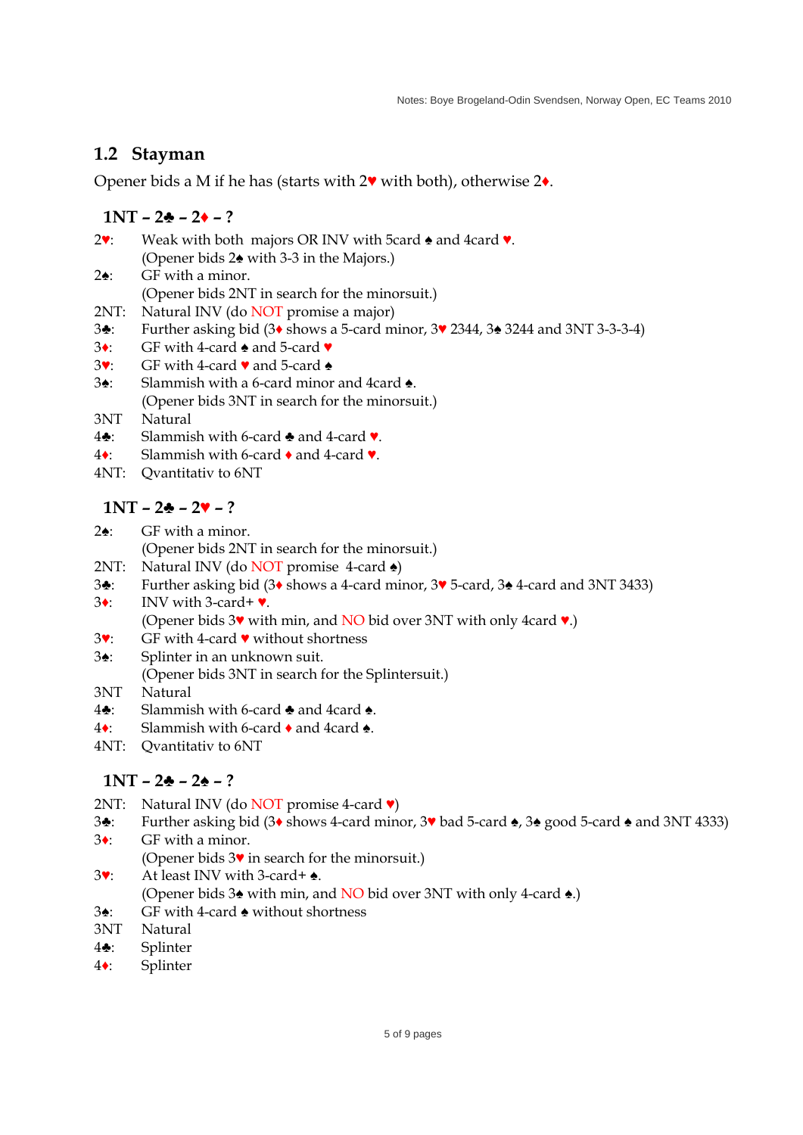## **1.2 Stayman**

Opener bids a M if he has (starts with 2♥ with both), otherwise 2♦.

### **1NT – 2♣ – 2♦ – ?**

- 2♥: Weak with both majors OR INV with 5card ♠ and 4card ♥. (Opener bids 2♠ with 3-3 in the Majors.) 2♠: GF with a minor. (Opener bids 2NT in search for the minorsuit.) 2NT: Natural INV (do NOT promise a major)
- 3♣: Further asking bid (3♦ shows a 5-card minor, 3♥ 2344, 3♠ 3244 and 3NT 3-3-3-4)
- 3♦: GF with 4-card ♠ and 5-card ♥
- 3♥: GF with 4-card ♥ and 5-card ♠
- 3♠: Slammish with a 6-card minor and 4card ♠. (Opener bids 3NT in search for the minorsuit.)
- 3NT Natural
- 4♣: Slammish with 6-card ♣ and 4-card ♥.
- 4♦: Slammish with 6-card ♦ and 4-card ♥.
- 4NT: Qvantitativ to 6NT

## **1NT – 2♣ – 2♥ – ?**

- 2♠: GF with a minor.
	- (Opener bids 2NT in search for the minorsuit.)
- 2NT: Natural INV (do NOT promise 4-card  $\triangle$ )
- 3♣: Further asking bid (3♦ shows a 4-card minor, 3♥ 5-card, 3♠ 4-card and 3NT 3433)
- 3♦: INV with 3-card+ ♥. (Opener bids  $3\mathbf{v}$  with min, and NO bid over 3NT with only 4card  $\mathbf{v}$ .)
- 3♥: GF with 4-card ♥ without shortness
- 3♠: Splinter in an unknown suit.
- (Opener bids 3NT in search for the Splintersuit.)
- 3NT Natural
- 4♣: Slammish with 6-card ♣ and 4card ♠.
- 4♦: Slammish with 6-card ♦ and 4card ♠.
- 4NT: Qvantitativ to 6NT

## **1NT – 2♣ – 2♠ – ?**

- 2NT: Natural INV (do NOT promise 4-card ♥)
- 3♣: Further asking bid (3♦ shows 4-card minor, 3♥ bad 5-card ♠, 3♠ good 5-card ♠ and 3NT 4333)
- 3♦: GF with a minor.
	- (Opener bids 3♥ in search for the minorsuit.)
- 3♥: At least INV with 3-card+ ♠. (Opener bids 3♠ with min, and NO bid over 3NT with only 4-card ♠.)
- 3♠: GF with 4-card ♠ without shortness
- 3NT Natural
- 4♣: Splinter
- 4♦: Splinter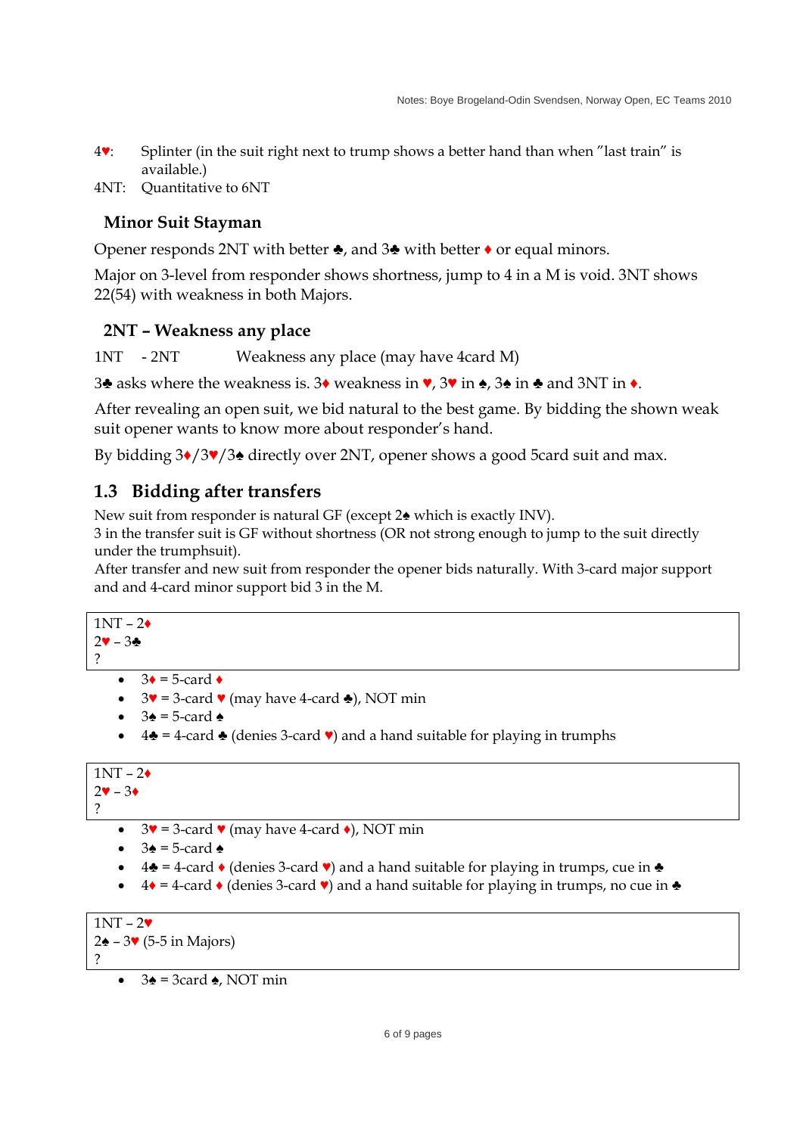- 4♥: Splinter (in the suit right next to trump shows a better hand than when "last train" is available.)
- 4NT: Quantitative to 6NT

## **Minor Suit Stayman**

Opener responds 2NT with better ♣, and 3♣ with better ♦ or equal minors.

Major on 3-level from responder shows shortness, jump to 4 in a M is void. 3NT shows 22(54) with weakness in both Majors.

### **2NT – Weakness any place**

1NT - 2NT Weakness any place (may have 4card M)

3♣ asks where the weakness is. 3♦ weakness in ♥, 3♥ in ♠, 3♠ in ♣ and 3NT in ♦.

After revealing an open suit, we bid natural to the best game. By bidding the shown weak suit opener wants to know more about responder's hand.

By bidding 3♦/3♥/3♠ directly over 2NT, opener shows a good 5card suit and max.

## **1.3 Bidding after transfers**

New suit from responder is natural GF (except 2♠ which is exactly INV).

3 in the transfer suit is GF without shortness (OR not strong enough to jump to the suit directly under the trumphsuit).

After transfer and new suit from responder the opener bids naturally. With 3-card major support and and 4-card minor support bid 3 in the M.

```
1NT - 2\bullet2♥ – 3♣
```
?

- $3\bullet = 5$ -card  $\bullet$
- $3\blacktriangledown = 3$ -card  $\blacktriangledown$  (may have 4-card  $\blacktriangle$ ), NOT min
- $3\spadesuit$  = 5-card  $\spadesuit$
- $4\clubsuit = 4$ -card  $\clubsuit$  (denies 3-card  $\triangledown$ ) and a hand suitable for playing in trumphs

```
1NT - 2\bullet2♥ – 3♦
```
?

- $\bullet$  3 $\bullet$  = 3-card  $\bullet$  (may have 4-card  $\bullet$ ), NOT min
- $3\bullet = 5$ -card  $\bullet$
- $4\clubsuit$  = 4-card ♦ (denies 3-card ♥) and a hand suitable for playing in trumps, cue in  $\clubsuit$
- $\bullet$  4  $\bullet$  = 4-card  $\bullet$  (denies 3-card  $\bullet$ ) and a hand suitable for playing in trumps, no cue in  $\bullet$

```
1NT - 2V2\triangle – 3\blacktriangleright (5-5 in Majors)
?
```
 $3\triangle$  = 3card  $\triangle$ , NOT min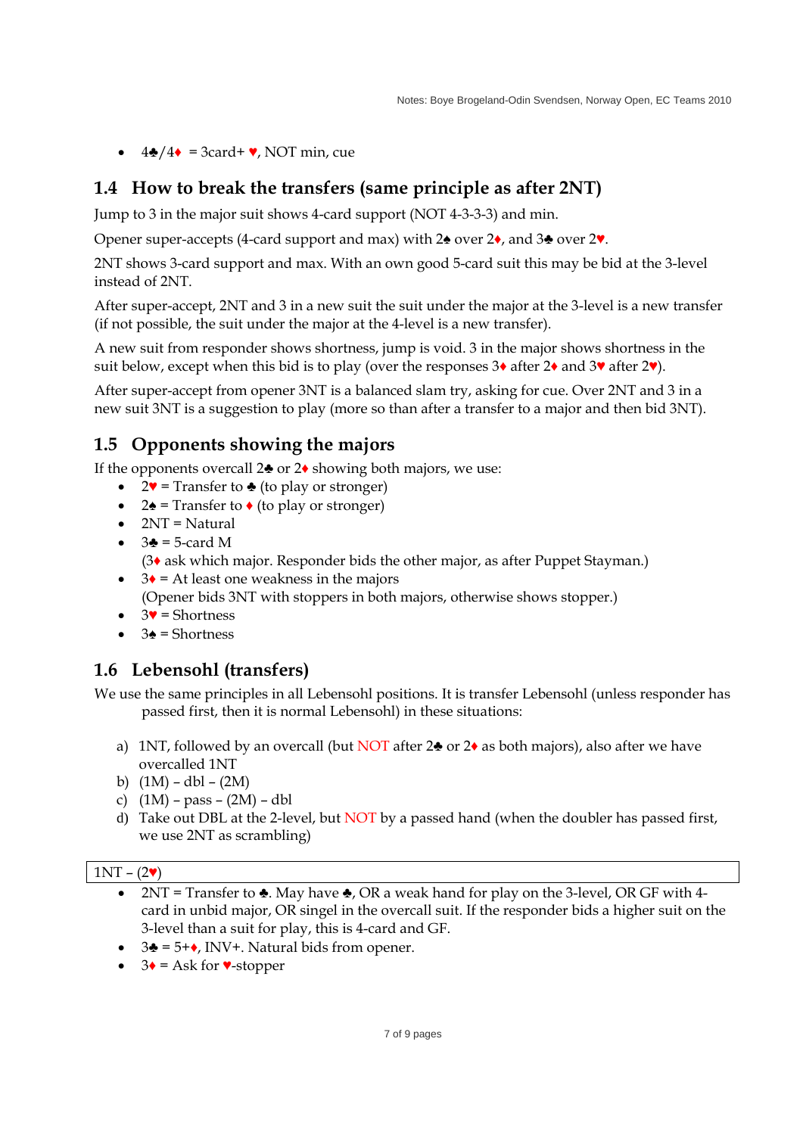$\bullet$  4 $\bullet$ /4 $\bullet$  = 3card+  $\bullet$ , NOT min, cue

# **1.4 How to break the transfers (same principle as after 2NT)**

Jump to 3 in the major suit shows 4-card support (NOT 4-3-3-3) and min.

Opener super-accepts (4-card support and max) with 2♠ over 2♦, and 3♣ over 2♥.

2NT shows 3-card support and max. With an own good 5-card suit this may be bid at the 3-level instead of 2NT.

After super-accept, 2NT and 3 in a new suit the suit under the major at the 3-level is a new transfer (if not possible, the suit under the major at the 4-level is a new transfer).

A new suit from responder shows shortness, jump is void. 3 in the major shows shortness in the suit below, except when this bid is to play (over the responses  $3\bullet$  after  $2\bullet$  and  $3\bullet$  after  $2\bullet$ ).

After super-accept from opener 3NT is a balanced slam try, asking for cue. Over 2NT and 3 in a new suit 3NT is a suggestion to play (more so than after a transfer to a major and then bid 3NT).

# **1.5 Opponents showing the majors**

If the opponents overcall  $2\clubsuit$  or  $2\spadesuit$  showing both majors, we use:

- $2\mathbf{v}$  = Transfer to  $\triangle$  (to play or stronger)
- $2\spadesuit$  = Transfer to  $\bullet$  (to play or stronger)
- $\bullet$  2NT = Natural
- $\bullet$  3 $\bullet$  = 5-card M
	- (3♦ ask which major. Responder bids the other major, as after Puppet Stayman.)
- $\bullet$  3 $\bullet$  = At least one weakness in the majors

(Opener bids 3NT with stoppers in both majors, otherwise shows stopper.)

- $\bullet$  3 $\bullet$  = Shortness
- $\bullet$  3 $\bullet$  = Shortness

# **1.6 Lebensohl (transfers)**

We use the same principles in all Lebensohl positions. It is transfer Lebensohl (unless responder has passed first, then it is normal Lebensohl) in these situations:

- a) 1NT, followed by an overcall (but NOT after  $2\bullet$  or  $2\bullet$  as both majors), also after we have overcalled 1NT
- b)  $(1M) dbl (2M)$
- c)  $(1M) pass (2M) dbl$
- d) Take out DBL at the 2-level, but NOT by a passed hand (when the doubler has passed first, we use 2NT as scrambling)

### $1NT - (2V)$

- $2NT$  = Transfer to  $\triangle$ . May have  $\triangle$ , OR a weak hand for play on the 3-level, OR GF with 4card in unbid major, OR singel in the overcall suit. If the responder bids a higher suit on the 3-level than a suit for play, this is 4-card and GF.
- $\bullet$  3 $\bullet$  = 5+ $\bullet$ , INV+. Natural bids from opener.
- $\bullet$  3 $\bullet$  = Ask for  $\bullet$ -stopper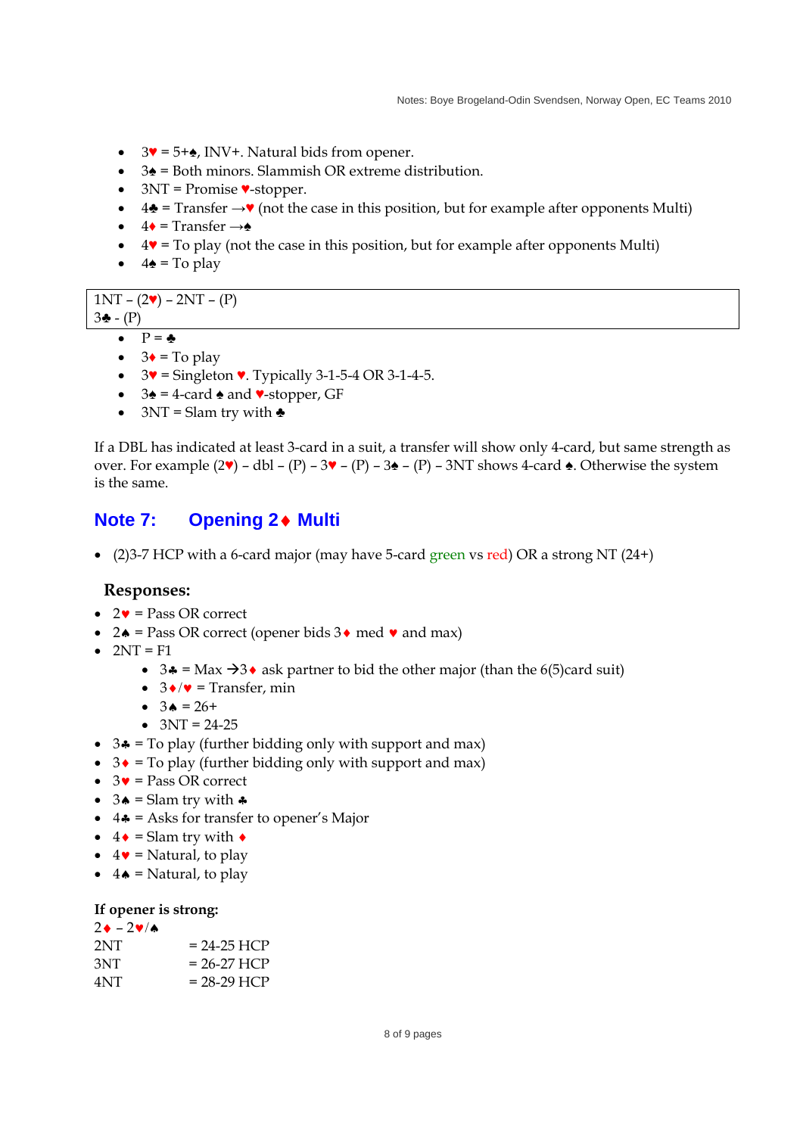- $\bullet$  3 $\bullet$  = 5+ $\bullet$ , INV+. Natural bids from opener.
- 3♠ = Both minors. Slammish OR extreme distribution.
- $\bullet$  3NT = Promise  $\bullet$ -stopper.
- $4\clubsuit$  = Transfer  $\rightarrow \blacktriangledown$  (not the case in this position, but for example after opponents Multi)
- $\bullet$  4 $\bullet$  = Transfer  $\rightarrow \bullet$
- $\bullet$  4 $\bullet$  = To play (not the case in this position, but for example after opponents Multi)
- $\bullet$  4 $\bullet$  = To play

 $1NT - (2V) - 2NT - (P)$ 3♣ - (P)

- $\bullet$   $P = \clubsuit$
- $\bullet$  3 $\bullet$  = To play
- $\bullet$  3 $\bullet$  = Singleton  $\bullet$ . Typically 3-1-5-4 OR 3-1-4-5.
- $\cdot$  3 $\cdot$  = 4-card  $\cdot$  and  $\cdot$ -stopper, GF
- $3NT =$  Slam try with  $\triangle$

If a DBL has indicated at least 3-card in a suit, a transfer will show only 4-card, but same strength as over. For example  $(2\mathbf{v})$  – dbl –  $(P)$  –  $3\mathbf{v}$  –  $(P)$  –  $3\mathbf{\triangle}$  –  $(P)$  – 3NT shows 4-card  $\mathbf{\triangle}$ . Otherwise the system is the same.

## **Note 7: Opening 2 Multi**

 $\bullet$  (2)3-7 HCP with a 6-card major (may have 5-card green vs red) OR a strong NT (24+)

#### **Responses:**

- $\bullet$  2 $\bullet$  = Pass OR correct
- $2 \triangle =$  Pass OR correct (opener bids  $3 \triangleleft$  med  $\triangledown$  and max)
- $\bullet$  2NT = F1
	- $3 \cdot 3 = \text{Max } -3 \cdot \text{ask partner to bid the other major (than the 6(5)card suit)}$
	- $\bullet$  3  $\bullet$  / $\bullet$  = Transfer, min
	- $3 \bullet = 26+$
	- $\bullet$  3NT = 24-25
- $\bullet$  3 $\bullet$  = To play (further bidding only with support and max)
- $\bullet$  3 $\bullet$  = To play (further bidding only with support and max)
- $\bullet$  3 $\bullet$  = Pass OR correct
- $3 \triangle =$  Slam try with  $\triangle$
- $\bullet$  4 $\bullet$  = Asks for transfer to opener's Major
- $\bullet$  4  $\bullet$  = Slam try with  $\bullet$
- $\bullet$  4 $\bullet$  = Natural, to play
- $\bullet$  4  $\bullet$  = Natural, to play

#### **If opener is strong:**

| $2 \cdot -2 \cdot \wedge$ |               |
|---------------------------|---------------|
| 2NT                       | $= 24-25$ HCP |
| 3NT                       | $= 26-27$ HCP |
| 4NT                       | $= 28-29$ HCP |